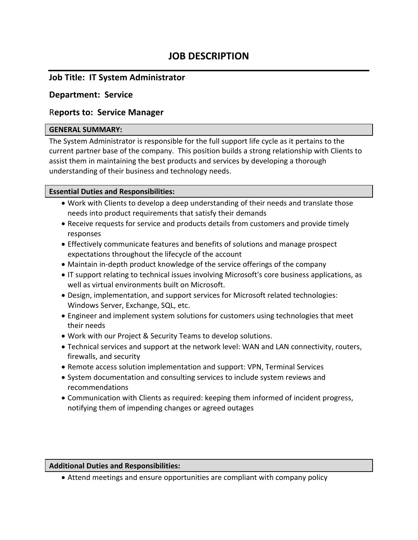# **JOB DESCRIPTION**

## **Job Title: IT System Administrator**

## **Department: Service**

## R**eports to: Service Manager**

#### **GENERAL SUMMARY:**

The System Administrator is responsible for the full support life cycle as it pertains to the current partner base of the company. This position builds a strong relationship with Clients to assist them in maintaining the best products and services by developing a thorough understanding of their business and technology needs.

### **Essential Duties and Responsibilities:**

- Work with Clients to develop a deep understanding of their needs and translate those needs into product requirements that satisfy their demands
- Receive requests for service and products details from customers and provide timely responses
- Effectively communicate features and benefits of solutions and manage prospect expectations throughout the lifecycle of the account
- Maintain in-depth product knowledge of the service offerings of the company
- IT support relating to technical issues involving Microsoft's core business applications, as well as virtual environments built on Microsoft.
- Design, implementation, and support services for Microsoft related technologies: Windows Server, Exchange, SQL, etc.
- Engineer and implement system solutions for customers using technologies that meet their needs
- Work with our Project & Security Teams to develop solutions.
- Technical services and support at the network level: WAN and LAN connectivity, routers, firewalls, and security
- Remote access solution implementation and support: VPN, Terminal Services
- System documentation and consulting services to include system reviews and recommendations
- Communication with Clients as required: keeping them informed of incident progress, notifying them of impending changes or agreed outages

### **Additional Duties and Responsibilities:**

• Attend meetings and ensure opportunities are compliant with company policy